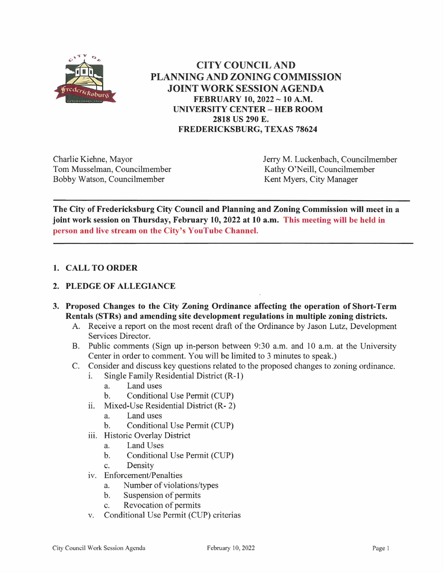

**CITY COUNCIL AND PLANNING AND ZONING COMMISSION** JOINT WORK SESSION AGENDA FEBRUARY 10, 2022 ~ 10 A.M. **UNIVERSITY CENTER - HEB ROOM** 2818 US 290 E. **FREDERICKSBURG, TEXAS 78624** 

Charlie Kiehne, Mayor Tom Musselman, Councilmember Bobby Watson, Councilmember

Jerry M. Luckenbach, Councilmember Kathy O'Neill, Councilmember Kent Myers, City Manager

The City of Fredericksburg City Council and Planning and Zoning Commission will meet in a joint work session on Thursday, February 10, 2022 at 10 a.m. This meeting will be held in person and live stream on the City's YouTube Channel.

## 1. CALL TO ORDER

## 2. PLEDGE OF ALLEGIANCE

- 3. Proposed Changes to the City Zoning Ordinance affecting the operation of Short-Term Rentals (STRs) and amending site development regulations in multiple zoning districts.
	- A. Receive a report on the most recent draft of the Ordinance by Jason Lutz, Development Services Director.
	- B. Public comments (Sign up in-person between 9:30 a.m. and 10 a.m. at the University Center in order to comment. You will be limited to 3 minutes to speak.)
	- $C_{\cdot}$ Consider and discuss key questions related to the proposed changes to zoning ordinance.
		- Single Family Residential District (R-1)  $\mathbf{i}$ .
			- a. Land uses
			- Conditional Use Permit (CUP)  $\mathbf{b}$ .
		- $ii.$ Mixed-Use Residential District (R-2)
			- a. Land uses
			- $<sub>b</sub>$ .</sub> Conditional Use Permit (CUP)
		- iii. Historic Overlav District
			- a. Land Uses
			- Conditional Use Permit (CUP)  $\mathbf{b}$ .
			- Density  $\mathbf{c}$ .
		- iv. Enforcement/Penalties
			- Number of violations/types a.
			- Suspension of permits  $<sub>b</sub>$ .</sub>
			- Revocation of permits c.
		- Conditional Use Permit (CUP) criterias V.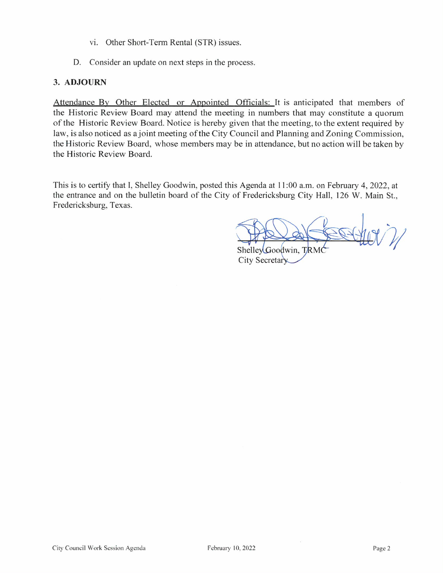- vi. Other Short-Term Rental (STR) issues.
- D. Consider an update on next steps in the process.

## 3. ADJOURN

Attendance By Other Elected or Appointed Officials: It is anticipated that members of the Historic Review Board may attend the meeting in numbers that may constitute a quorum of the Historic Review Board. Notice is hereby given that the meeting, to the extent required by law, is also noticed as a joint meeting of the City Council and Planning and Zoning Commission, the Historic Review Board, whose members may be in attendance, but no action will be taken by the Historic Review Board.

This is to certify that I, Shelley Goodwin, posted this Agenda at 11:00 a.m. on February 4, 2022, at the entrance and on the bulletin board of the City of Fredericksburg City Hall, 126 W. Main St., Fredericksburg, Texas.

ShelleyGoodwin, TRM City Secretary